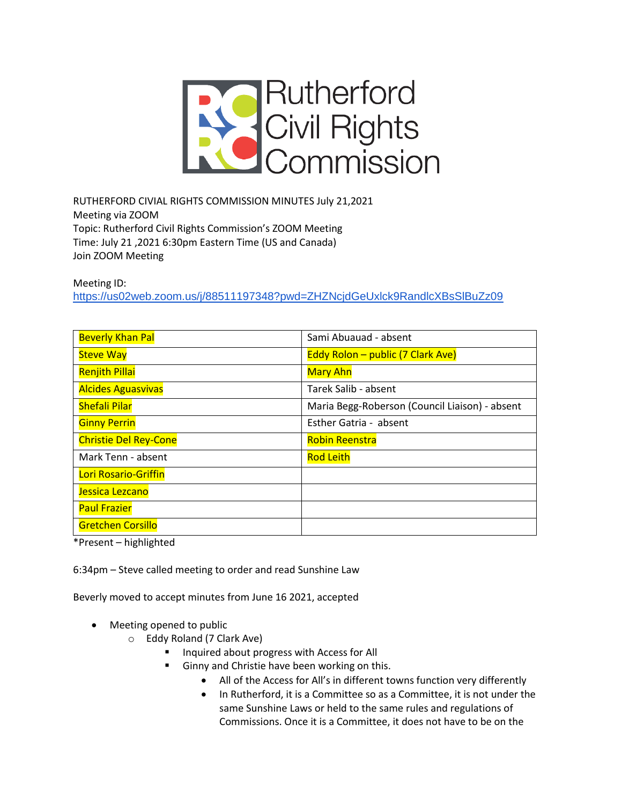

RUTHERFORD CIVIAL RIGHTS COMMISSION MINUTES July 21,2021 Meeting via ZOOM Topic: Rutherford Civil Rights Commission's ZOOM Meeting Time: July 21 ,2021 6:30pm Eastern Time (US and Canada) Join ZOOM Meeting

Meeting ID:

<https://us02web.zoom.us/j/88511197348?pwd=ZHZNcjdGeUxlck9RandlcXBsSlBuZz09>

| <b>Beverly Khan Pal</b>      | Sami Abuauad - absent                          |
|------------------------------|------------------------------------------------|
| <b>Steve Way</b>             | <b>Eddy Rolon – public (7 Clark Ave)</b>       |
| <b>Renjith Pillai</b>        | <b>Mary Ahn</b>                                |
| <b>Alcides Aguasvivas</b>    | Tarek Salib - absent                           |
| <b>Shefali Pilar</b>         | Maria Begg-Roberson (Council Liaison) - absent |
| <b>Ginny Perrin</b>          | Esther Gatria - absent                         |
| <b>Christie Del Rey-Cone</b> | <b>Robin Reenstra</b>                          |
| Mark Tenn - absent           | <b>Rod Leith</b>                               |
| Lori Rosario-Griffin         |                                                |
| Jessica Lezcano              |                                                |
| <b>Paul Frazier</b>          |                                                |
| <b>Gretchen Corsillo</b>     |                                                |

\*Present – highlighted

6:34pm – Steve called meeting to order and read Sunshine Law

Beverly moved to accept minutes from June 16 2021, accepted

- Meeting opened to public
	- o Eddy Roland (7 Clark Ave)
		- Inquired about progress with Access for All
			- Ginny and Christie have been working on this.
				- All of the Access for All's in different towns function very differently
				- In Rutherford, it is a Committee so as a Committee, it is not under the same Sunshine Laws or held to the same rules and regulations of Commissions. Once it is a Committee, it does not have to be on the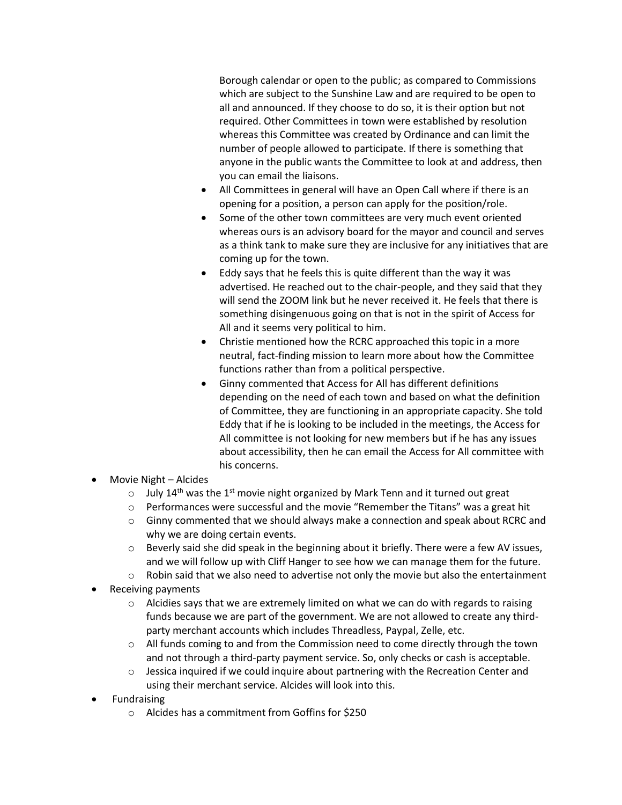Borough calendar or open to the public; as compared to Commissions which are subject to the Sunshine Law and are required to be open to all and announced. If they choose to do so, it is their option but not required. Other Committees in town were established by resolution whereas this Committee was created by Ordinance and can limit the number of people allowed to participate. If there is something that anyone in the public wants the Committee to look at and address, then you can email the liaisons.

- All Committees in general will have an Open Call where if there is an opening for a position, a person can apply for the position/role.
- Some of the other town committees are very much event oriented whereas ours is an advisory board for the mayor and council and serves as a think tank to make sure they are inclusive for any initiatives that are coming up for the town.
- Eddy says that he feels this is quite different than the way it was advertised. He reached out to the chair-people, and they said that they will send the ZOOM link but he never received it. He feels that there is something disingenuous going on that is not in the spirit of Access for All and it seems very political to him.
- Christie mentioned how the RCRC approached this topic in a more neutral, fact-finding mission to learn more about how the Committee functions rather than from a political perspective.
- Ginny commented that Access for All has different definitions depending on the need of each town and based on what the definition of Committee, they are functioning in an appropriate capacity. She told Eddy that if he is looking to be included in the meetings, the Access for All committee is not looking for new members but if he has any issues about accessibility, then he can email the Access for All committee with his concerns.
- Movie Night Alcides
	- $\circ$  July 14<sup>th</sup> was the 1<sup>st</sup> movie night organized by Mark Tenn and it turned out great
	- $\circ$  Performances were successful and the movie "Remember the Titans" was a great hit
	- $\circ$  Ginny commented that we should always make a connection and speak about RCRC and why we are doing certain events.
	- $\circ$  Beverly said she did speak in the beginning about it briefly. There were a few AV issues, and we will follow up with Cliff Hanger to see how we can manage them for the future.
	- $\circ$  Robin said that we also need to advertise not only the movie but also the entertainment
- Receiving payments
	- $\circ$  Alcidies says that we are extremely limited on what we can do with regards to raising funds because we are part of the government. We are not allowed to create any thirdparty merchant accounts which includes Threadless, Paypal, Zelle, etc.
	- $\circ$  All funds coming to and from the Commission need to come directly through the town and not through a third-party payment service. So, only checks or cash is acceptable.
	- $\circ$  Jessica inquired if we could inquire about partnering with the Recreation Center and using their merchant service. Alcides will look into this.
- **Fundraising** 
	- o Alcides has a commitment from Goffins for \$250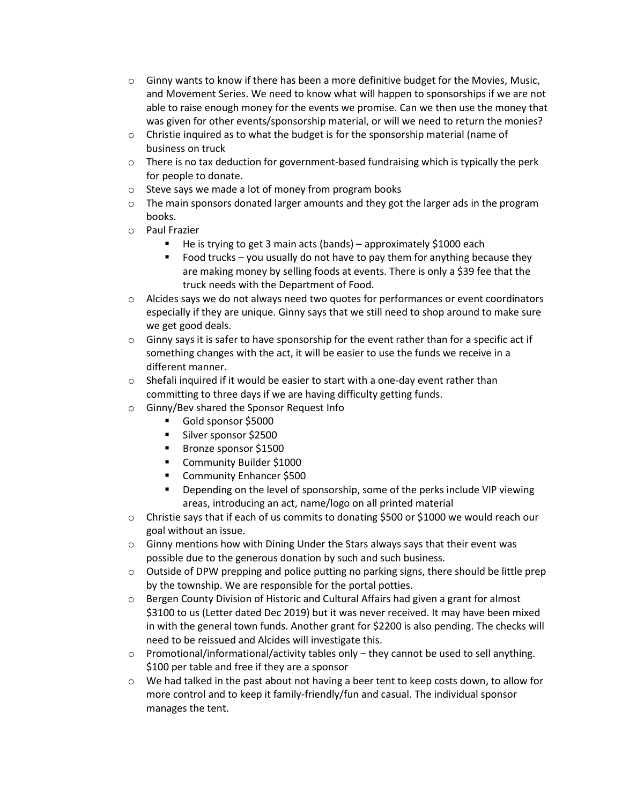- $\circ$  Ginny wants to know if there has been a more definitive budget for the Movies, Music, and Movement Series. We need to know what will happen to sponsorships if we are not able to raise enough money for the events we promise. Can we then use the money that was given for other events/sponsorship material, or will we need to return the monies?
- $\circ$  Christie inquired as to what the budget is for the sponsorship material (name of business on truck
- $\circ$  There is no tax deduction for government-based fundraising which is typically the perk for people to donate.
- o Steve says we made a lot of money from program books
- $\circ$  The main sponsors donated larger amounts and they got the larger ads in the program books.
- o Paul Frazier
	- He is trying to get 3 main acts (bands) approximately \$1000 each
	- Food trucks you usually do not have to pay them for anything because they are making money by selling foods at events. There is only a \$39 fee that the truck needs with the Department of Food.
- $\circ$  Alcides says we do not always need two quotes for performances or event coordinators especially if they are unique. Ginny says that we still need to shop around to make sure we get good deals.
- $\circ$  Ginny says it is safer to have sponsorship for the event rather than for a specific act if something changes with the act, it will be easier to use the funds we receive in a different manner.
- o Shefali inquired if it would be easier to start with a one-day event rather than committing to three days if we are having difficulty getting funds.
- o Ginny/Bev shared the Sponsor Request Info
	- Gold sponsor \$5000
	- **E** Silver sponsor \$2500
	- Bronze sponsor \$1500
	- Community Builder \$1000
	- Community Enhancer \$500
	- Depending on the level of sponsorship, some of the perks include VIP viewing areas, introducing an act, name/logo on all printed material
- $\circ$  Christie says that if each of us commits to donating \$500 or \$1000 we would reach our goal without an issue.
- $\circ$  Ginny mentions how with Dining Under the Stars always says that their event was possible due to the generous donation by such and such business.
- o Outside of DPW prepping and police putting no parking signs, there should be little prep by the township. We are responsible for the portal potties.
- $\circ$  Bergen County Division of Historic and Cultural Affairs had given a grant for almost \$3100 to us (Letter dated Dec 2019) but it was never received. It may have been mixed in with the general town funds. Another grant for \$2200 is also pending. The checks will need to be reissued and Alcides will investigate this.
- $\circ$  Promotional/informational/activity tables only they cannot be used to sell anything. \$100 per table and free if they are a sponsor
- o We had talked in the past about not having a beer tent to keep costs down, to allow for more control and to keep it family-friendly/fun and casual. The individual sponsor manages the tent.